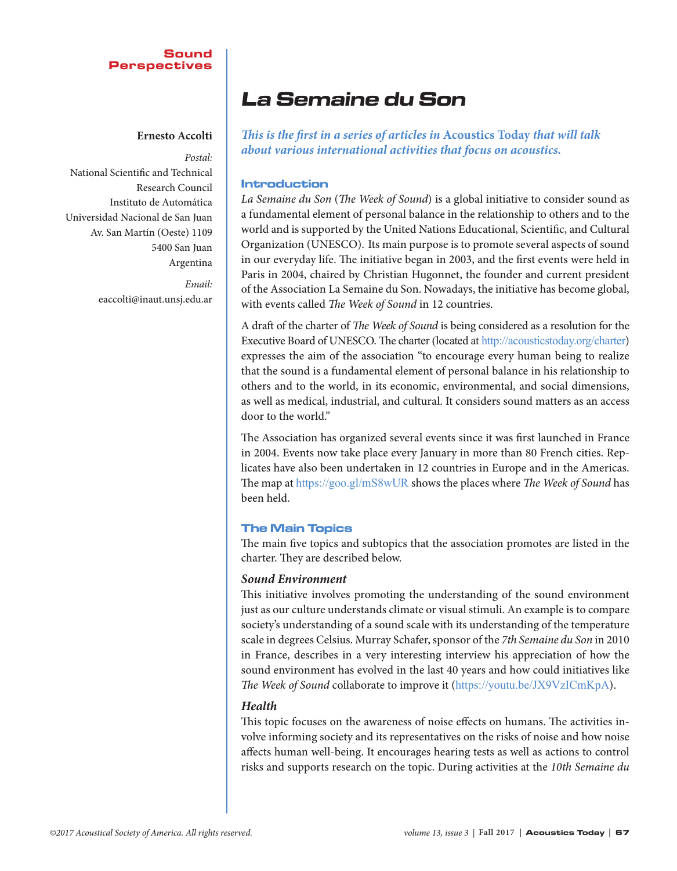## Sound Perspectives

## **Ernesto Accolti**

*Postal:* National Scientific and Technical Research Council Instituto de Automática Universidad Nacional de San Juan Av. San Martín (Oeste) 1109 5400 San Juan Argentina

> *Email:* eaccolti@inaut.unsj.edu.ar

# La Semaine du Son

*This is the first in a series of articles in* **Acoustics Today** *that will talk about various international activities that focus on acoustics.*

## Introduction

*La Semaine du Son* (*The Week of Sound*) is a global initiative to consider sound as a fundamental element of personal balance in the relationship to others and to the world and is supported by the United Nations Educational, Scientific, and Cultural Organization (UNESCO). Its main purpose is to promote several aspects of sound in our everyday life. The initiative began in 2003, and the first events were held in Paris in 2004, chaired by Christian Hugonnet, the founder and current president of the Association La Semaine du Son. Nowadays, the initiative has become global, with events called *The Week of Sound* in 12 countries.

A draft of the charter of *The Week of Sound* is being considered as a resolution for the Executive Board of UNESCO. The charter (located at http://acousticstoday.org/charter) expresses the aim of the association "to encourage every human being to realize that the sound is a fundamental element of personal balance in his relationship to others and to the world, in its economic, environmental, and social dimensions, as well as medical, industrial, and cultural. It considers sound matters as an access door to the world."

The Association has organized several events since it was first launched in France in 2004. Events now take place every January in more than 80 French cities. Replicates have also been undertaken in 12 countries in Europe and in the Americas. The map at https://goo.gl/mS8wUR shows the places where *The Week of Sound* has been held.

# The Main Topics

The main five topics and subtopics that the association promotes are listed in the charter. They are described below.

# *Sound Environment*

This initiative involves promoting the understanding of the sound environment just as our culture understands climate or visual stimuli. An example is to compare society's understanding of a sound scale with its understanding of the temperature scale in degrees Celsius. Murray Schafer, sponsor of the *7th Semaine du Son* in 2010 in France, describes in a very interesting interview his appreciation of how the sound environment has evolved in the last 40 years and how could initiatives like *The Week of Sound* collaborate to improve it (https://youtu.be/JX9VzICmKpA).

# *Health*

This topic focuses on the awareness of noise effects on humans. The activities involve informing society and its representatives on the risks of noise and how noise affects human well-being. It encourages hearing tests as well as actions to control risks and supports research on the topic. During activities at the *10th Semaine du*